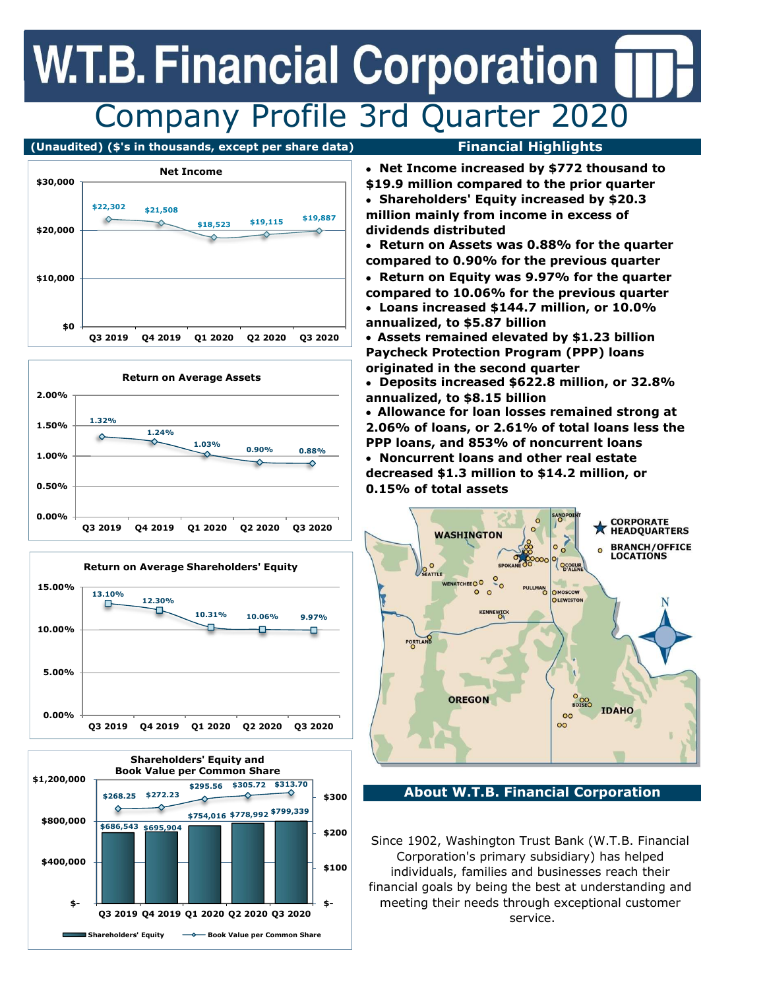## **W.T.B. Financial Corporation** Company Profile 3rd Quarter 2020

### (Unaudited) (\$'s in thousands, except per share data) Financial Highlights





Net Income \$30,000  $$22,302$   $$21,508$ \$18,523 \$19,115 \$19,887  $\Diamond$ ♦ \$20,000 \$10,000 \$0 Q3 2019 Q4 2019 Q1 2020 Q2 2020 Q3 2020







### Net Income increased by \$772 thousand to

\$19.9 million compared to the prior quarter Shareholders' Equity increased by \$20.3 million mainly from income in excess of dividends distributed

 Return on Assets was 0.88% for the quarter compared to 0.90% for the previous quarter

• Return on Equity was 9.97% for the quarter compared to 10.06% for the previous quarter Loans increased \$144.7 million, or 10.0% annualized, to \$5.87 billion

Assets remained elevated by \$1.23 billion Paycheck Protection Program (PPP) loans originated in the second quarter

 Deposits increased \$622.8 million, or 32.8% annualized, to \$8.15 billion

Allowance for loan losses remained strong at 2.06% of loans, or 2.61% of total loans less the PPP loans, and 853% of noncurrent loans Noncurrent loans and other real estate decreased \$1.3 million to \$14.2 million, or 0.15% of total assets



About W.T.B. Financial Corporation

Since 1902, Washington Trust Bank (W.T.B. Financial Corporation's primary subsidiary) has helped individuals, families and businesses reach their financial goals by being the best at understanding and meeting their needs through exceptional customer service.